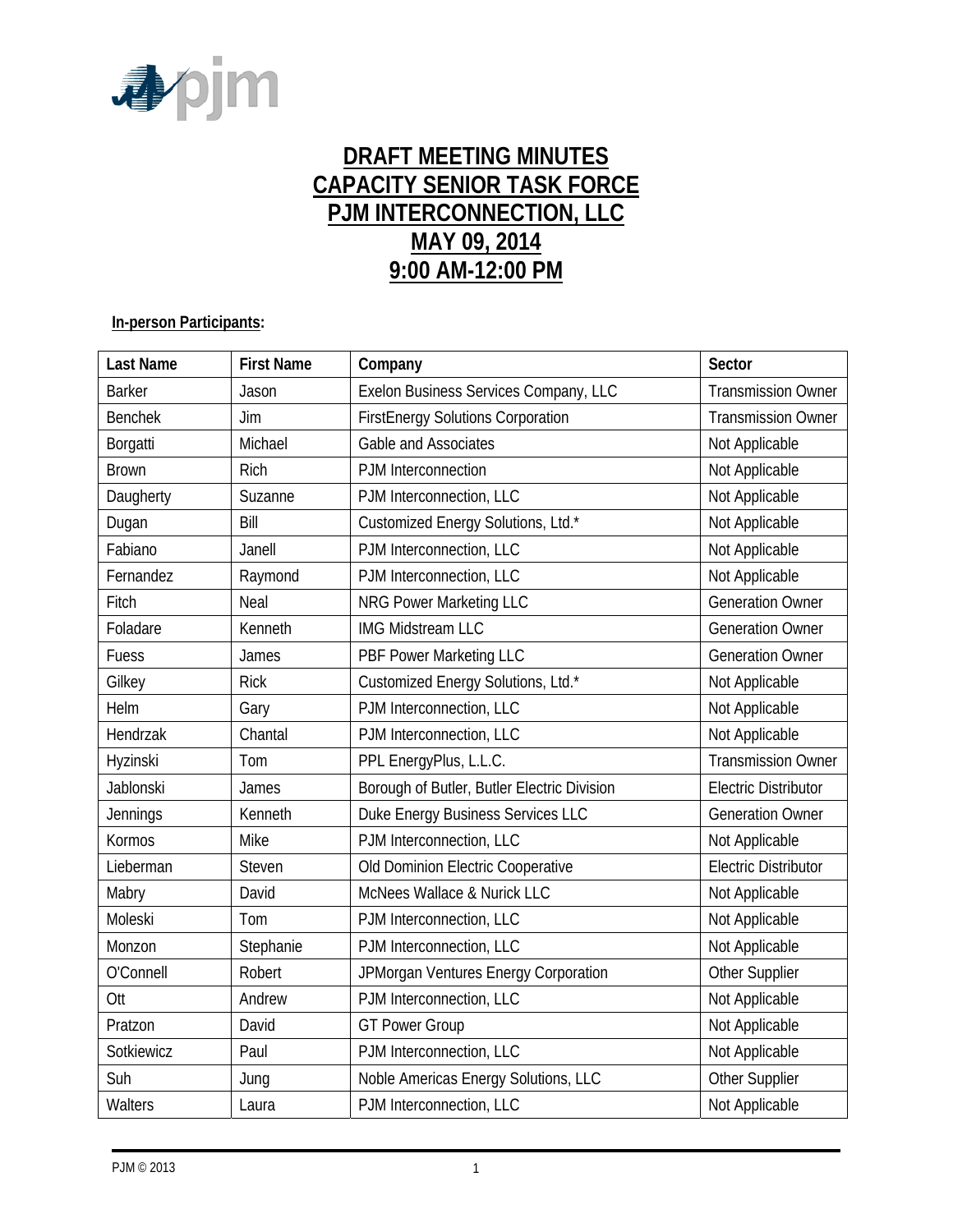

# **DRAFT MEETING MINUTES CAPACITY SENIOR TASK FORCE PJM INTERCONNECTION, LLC MAY 09, 2014 9:00 AM-12:00 PM**

#### **In-person Participants:**

| <b>Last Name</b> | <b>First Name</b> | Company                                     | Sector                      |
|------------------|-------------------|---------------------------------------------|-----------------------------|
| <b>Barker</b>    | Jason             | Exelon Business Services Company, LLC       | <b>Transmission Owner</b>   |
| <b>Benchek</b>   | Jim               | <b>FirstEnergy Solutions Corporation</b>    | <b>Transmission Owner</b>   |
| Borgatti         | Michael           | Gable and Associates                        | Not Applicable              |
| <b>Brown</b>     | Rich              | PJM Interconnection                         | Not Applicable              |
| Daugherty        | Suzanne           | PJM Interconnection, LLC                    | Not Applicable              |
| Dugan            | Bill              | Customized Energy Solutions, Ltd.*          | Not Applicable              |
| Fabiano          | Janell            | PJM Interconnection, LLC                    | Not Applicable              |
| Fernandez        | Raymond           | PJM Interconnection, LLC                    | Not Applicable              |
| Fitch            | Neal              | <b>NRG Power Marketing LLC</b>              | <b>Generation Owner</b>     |
| Foladare         | Kenneth           | IMG Midstream LLC                           | <b>Generation Owner</b>     |
| Fuess            | James             | PBF Power Marketing LLC                     | <b>Generation Owner</b>     |
| Gilkey           | <b>Rick</b>       | Customized Energy Solutions, Ltd.*          | Not Applicable              |
| Helm             | Gary              | PJM Interconnection, LLC                    | Not Applicable              |
| Hendrzak         | Chantal           | PJM Interconnection, LLC                    | Not Applicable              |
| Hyzinski         | Tom               | PPL EnergyPlus, L.L.C.                      | <b>Transmission Owner</b>   |
| Jablonski        | James             | Borough of Butler, Butler Electric Division | <b>Electric Distributor</b> |
| Jennings         | Kenneth           | Duke Energy Business Services LLC           | <b>Generation Owner</b>     |
| Kormos           | Mike              | PJM Interconnection, LLC                    | Not Applicable              |
| Lieberman        | Steven            | Old Dominion Electric Cooperative           | <b>Electric Distributor</b> |
| Mabry            | David             | McNees Wallace & Nurick LLC                 | Not Applicable              |
| Moleski          | Tom               | PJM Interconnection, LLC                    | Not Applicable              |
| Monzon           | Stephanie         | PJM Interconnection, LLC                    | Not Applicable              |
| O'Connell        | Robert            | JPMorgan Ventures Energy Corporation        | Other Supplier              |
| Ott              | Andrew            | PJM Interconnection, LLC                    | Not Applicable              |
| Pratzon          | David             | <b>GT Power Group</b>                       | Not Applicable              |
| Sotkiewicz       | Paul              | PJM Interconnection, LLC                    | Not Applicable              |
| Suh              | Jung              | Noble Americas Energy Solutions, LLC        | Other Supplier              |
| Walters          | Laura             | PJM Interconnection, LLC                    | Not Applicable              |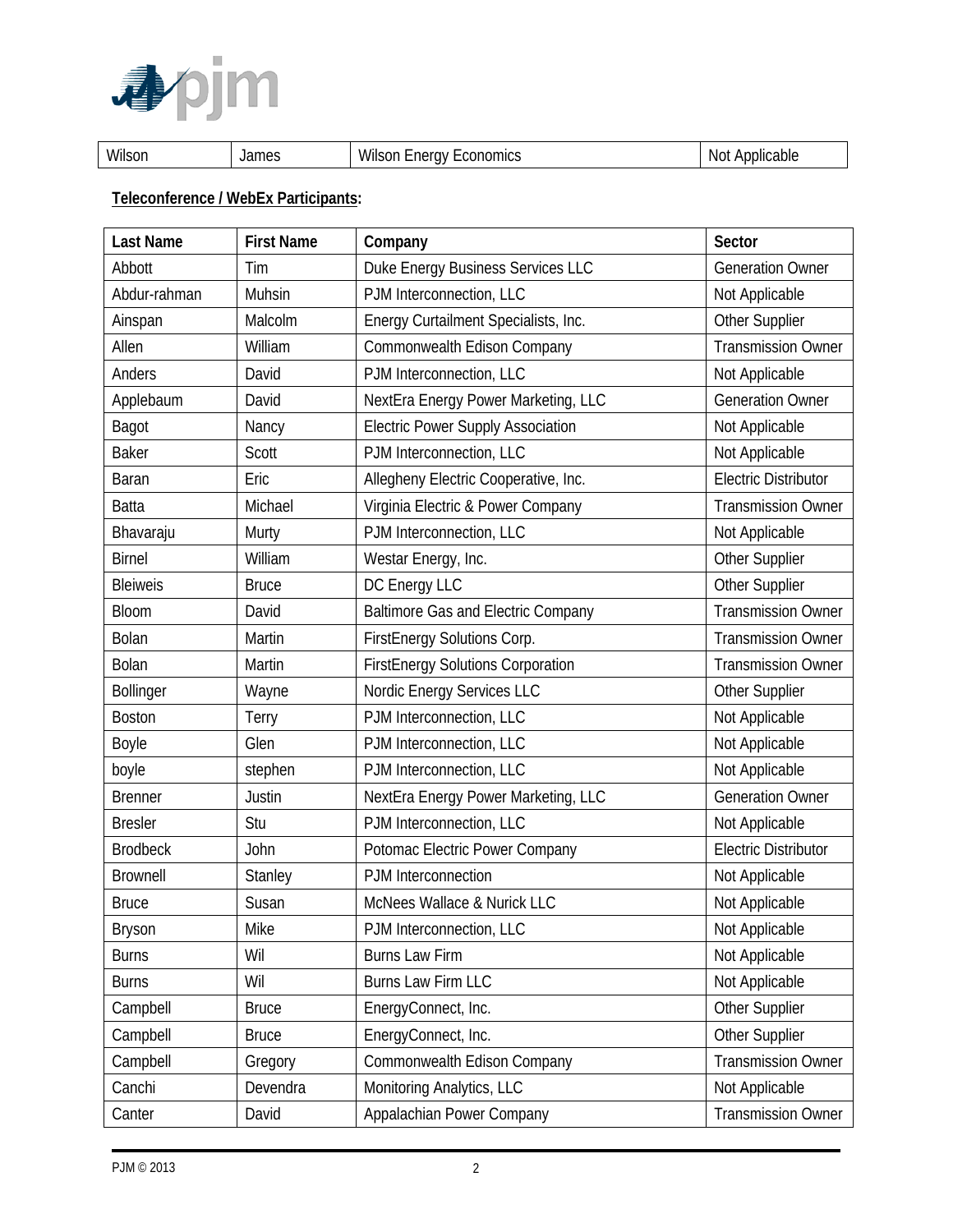

| <b>A</b> <i>I</i> II<br>Wilsor | James | 5.11<br>nomics<br>VVII:<br>:rav<br>sor<br>∼ne.<br>-<br>اللت | Applicable<br>-NG |
|--------------------------------|-------|-------------------------------------------------------------|-------------------|
|--------------------------------|-------|-------------------------------------------------------------|-------------------|

## **Teleconference / WebEx Participants:**

| <b>Last Name</b> | <b>First Name</b> | Company                                   | Sector                      |
|------------------|-------------------|-------------------------------------------|-----------------------------|
| Abbott           | Tim               | Duke Energy Business Services LLC         | <b>Generation Owner</b>     |
| Abdur-rahman     | Muhsin            | PJM Interconnection, LLC                  | Not Applicable              |
| Ainspan          | Malcolm           | Energy Curtailment Specialists, Inc.      | Other Supplier              |
| Allen            | William           | Commonwealth Edison Company               | <b>Transmission Owner</b>   |
| Anders           | David             | PJM Interconnection, LLC                  | Not Applicable              |
| Applebaum        | David             | NextEra Energy Power Marketing, LLC       | <b>Generation Owner</b>     |
| <b>Bagot</b>     | Nancy             | <b>Electric Power Supply Association</b>  | Not Applicable              |
| <b>Baker</b>     | Scott             | PJM Interconnection, LLC                  | Not Applicable              |
| <b>Baran</b>     | Eric              | Allegheny Electric Cooperative, Inc.      | <b>Electric Distributor</b> |
| <b>Batta</b>     | Michael           | Virginia Electric & Power Company         | <b>Transmission Owner</b>   |
| Bhavaraju        | Murty             | PJM Interconnection, LLC                  | Not Applicable              |
| <b>Birnel</b>    | William           | Westar Energy, Inc.                       | Other Supplier              |
| <b>Bleiweis</b>  | <b>Bruce</b>      | DC Energy LLC                             | Other Supplier              |
| <b>Bloom</b>     | David             | <b>Baltimore Gas and Electric Company</b> | <b>Transmission Owner</b>   |
| Bolan            | Martin            | FirstEnergy Solutions Corp.               | <b>Transmission Owner</b>   |
| <b>Bolan</b>     | Martin            | <b>FirstEnergy Solutions Corporation</b>  | <b>Transmission Owner</b>   |
| <b>Bollinger</b> | Wayne             | Nordic Energy Services LLC                | Other Supplier              |
| <b>Boston</b>    | Terry             | PJM Interconnection, LLC                  | Not Applicable              |
| Boyle            | Glen              | PJM Interconnection, LLC                  | Not Applicable              |
| boyle            | stephen           | PJM Interconnection, LLC                  | Not Applicable              |
| <b>Brenner</b>   | Justin            | NextEra Energy Power Marketing, LLC       | <b>Generation Owner</b>     |
| <b>Bresler</b>   | Stu               | PJM Interconnection, LLC                  | Not Applicable              |
| <b>Brodbeck</b>  | John              | Potomac Electric Power Company            | <b>Electric Distributor</b> |
| <b>Brownell</b>  | Stanley           | PJM Interconnection                       | Not Applicable              |
| <b>Bruce</b>     | Susan             | McNees Wallace & Nurick LLC               | Not Applicable              |
| <b>Bryson</b>    | Mike              | PJM Interconnection, LLC                  | Not Applicable              |
| <b>Burns</b>     | Wil               | <b>Burns Law Firm</b>                     | Not Applicable              |
| <b>Burns</b>     | Wil               | Burns Law Firm LLC                        | Not Applicable              |
| Campbell         | <b>Bruce</b>      | EnergyConnect, Inc.                       | Other Supplier              |
| Campbell         | <b>Bruce</b>      | EnergyConnect, Inc.                       | Other Supplier              |
| Campbell         | Gregory           | Commonwealth Edison Company               | <b>Transmission Owner</b>   |
| Canchi           | Devendra          | Monitoring Analytics, LLC                 | Not Applicable              |
| Canter           | David             | Appalachian Power Company                 | <b>Transmission Owner</b>   |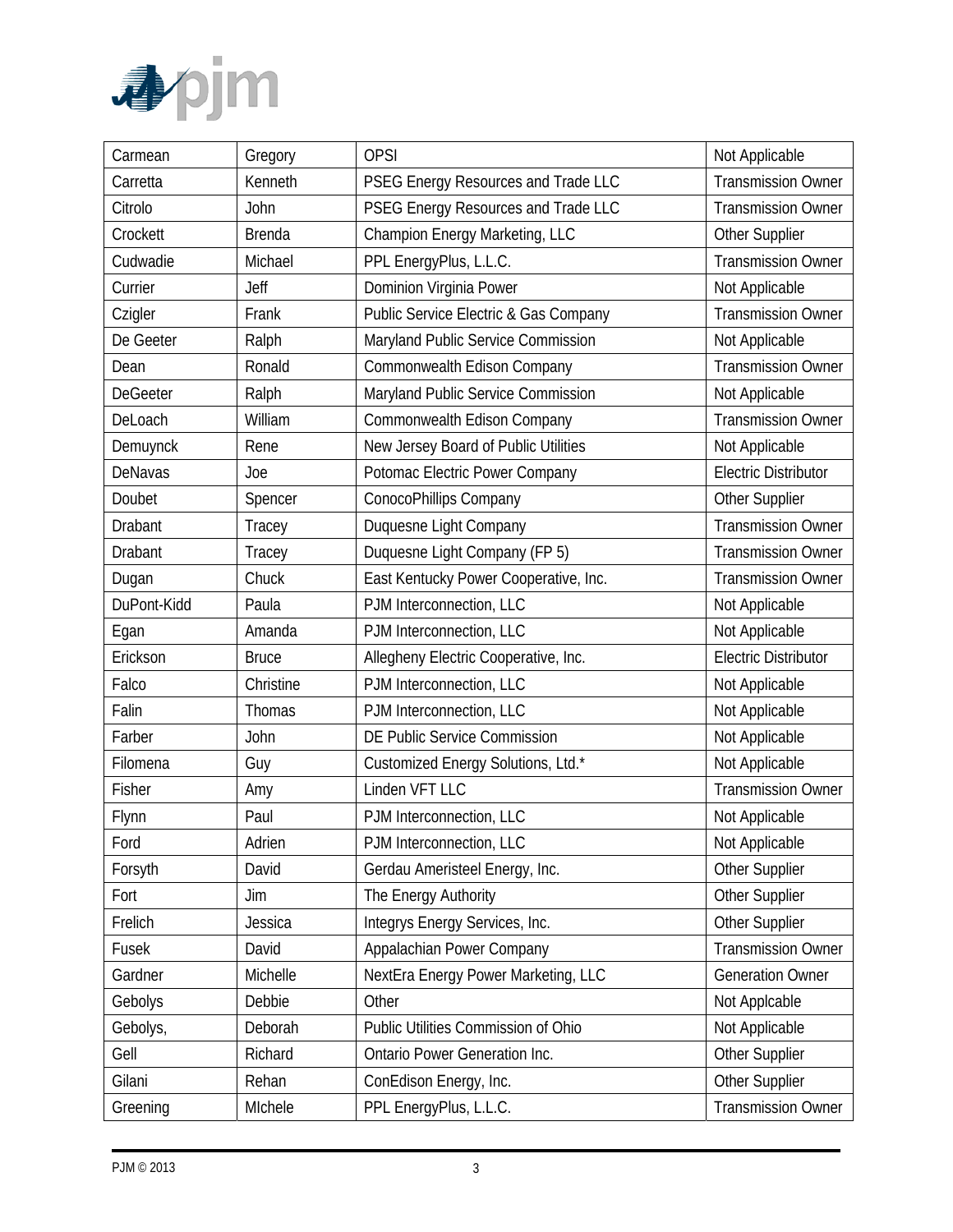

| Carmean         | Gregory       | <b>OPSI</b>                           | Not Applicable              |
|-----------------|---------------|---------------------------------------|-----------------------------|
| Carretta        | Kenneth       | PSEG Energy Resources and Trade LLC   | <b>Transmission Owner</b>   |
| Citrolo         | John          | PSEG Energy Resources and Trade LLC   | <b>Transmission Owner</b>   |
| Crockett        | <b>Brenda</b> | Champion Energy Marketing, LLC        | Other Supplier              |
| Cudwadie        | Michael       | PPL EnergyPlus, L.L.C.                | <b>Transmission Owner</b>   |
| Currier         | Jeff          | Dominion Virginia Power               | Not Applicable              |
| Czigler         | Frank         | Public Service Electric & Gas Company | <b>Transmission Owner</b>   |
| De Geeter       | Ralph         | Maryland Public Service Commission    | Not Applicable              |
| Dean            | Ronald        | Commonwealth Edison Company           | <b>Transmission Owner</b>   |
| <b>DeGeeter</b> | Ralph         | Maryland Public Service Commission    | Not Applicable              |
| DeLoach         | William       | Commonwealth Edison Company           | <b>Transmission Owner</b>   |
| Demuynck        | Rene          | New Jersey Board of Public Utilities  | Not Applicable              |
| DeNavas         | Joe           | Potomac Electric Power Company        | <b>Electric Distributor</b> |
| Doubet          | Spencer       | ConocoPhillips Company                | Other Supplier              |
| Drabant         | Tracey        | Duquesne Light Company                | <b>Transmission Owner</b>   |
| Drabant         | Tracey        | Duquesne Light Company (FP 5)         | <b>Transmission Owner</b>   |
| Dugan           | Chuck         | East Kentucky Power Cooperative, Inc. | <b>Transmission Owner</b>   |
| DuPont-Kidd     | Paula         | PJM Interconnection, LLC              | Not Applicable              |
| Egan            | Amanda        | PJM Interconnection, LLC              | Not Applicable              |
| Erickson        | <b>Bruce</b>  | Allegheny Electric Cooperative, Inc.  | <b>Electric Distributor</b> |
| Falco           | Christine     | PJM Interconnection, LLC              | Not Applicable              |
| Falin           | Thomas        | PJM Interconnection, LLC              | Not Applicable              |
| Farber          | John          | DE Public Service Commission          | Not Applicable              |
| Filomena        | Guy           | Customized Energy Solutions, Ltd.*    | Not Applicable              |
| Fisher          | Amy           | Linden VFT LLC                        | <b>Transmission Owner</b>   |
| Flynn           | Paul          | PJM Interconnection, LLC              | Not Applicable              |
| Ford            | Adrien        | PJM Interconnection, LLC              | Not Applicable              |
| Forsyth         | David         | Gerdau Ameristeel Energy, Inc.        | Other Supplier              |
| Fort            | Jim           | The Energy Authority                  | Other Supplier              |
| Frelich         | Jessica       | Integrys Energy Services, Inc.        | Other Supplier              |
| Fusek           | David         | Appalachian Power Company             | <b>Transmission Owner</b>   |
| Gardner         | Michelle      | NextEra Energy Power Marketing, LLC   | <b>Generation Owner</b>     |
| Gebolys         | Debbie        | Other                                 | Not Applcable               |
| Gebolys,        | Deborah       | Public Utilities Commission of Ohio   | Not Applicable              |
| Gell            | Richard       | Ontario Power Generation Inc.         | Other Supplier              |
| Gilani          | Rehan         | ConEdison Energy, Inc.                | Other Supplier              |
| Greening        | MIchele       | PPL EnergyPlus, L.L.C.                | <b>Transmission Owner</b>   |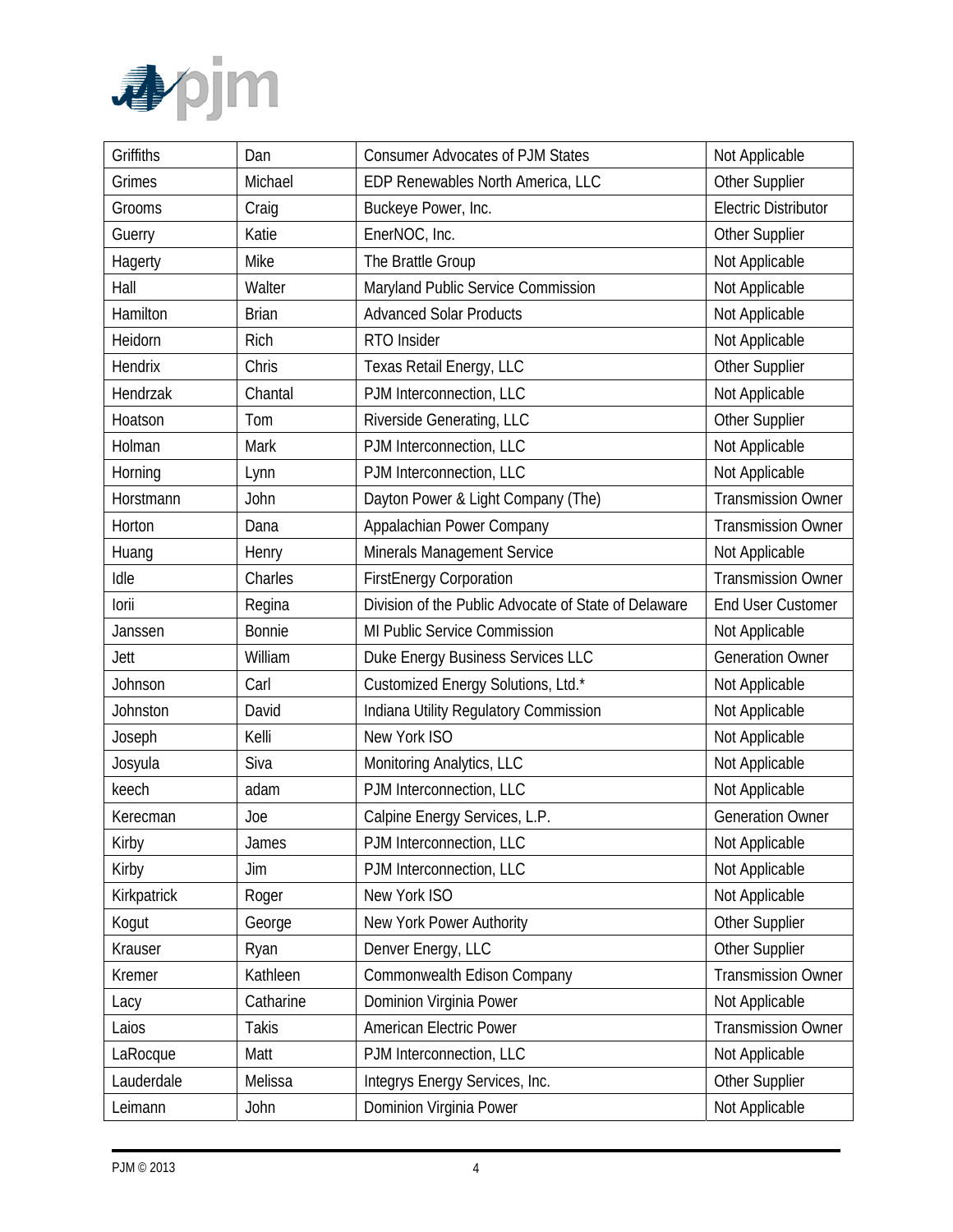

| Griffiths   | Dan          | <b>Consumer Advocates of PJM States</b>              | Not Applicable              |
|-------------|--------------|------------------------------------------------------|-----------------------------|
| Grimes      | Michael      | EDP Renewables North America, LLC                    | Other Supplier              |
| Grooms      | Craig        | Buckeye Power, Inc.                                  | <b>Electric Distributor</b> |
| Guerry      | Katie        | EnerNOC, Inc.                                        | <b>Other Supplier</b>       |
| Hagerty     | Mike         | The Brattle Group                                    | Not Applicable              |
| Hall        | Walter       | Maryland Public Service Commission                   | Not Applicable              |
| Hamilton    | <b>Brian</b> | <b>Advanced Solar Products</b>                       | Not Applicable              |
| Heidorn     | Rich         | RTO Insider                                          | Not Applicable              |
| Hendrix     | Chris        | Texas Retail Energy, LLC                             | Other Supplier              |
| Hendrzak    | Chantal      | PJM Interconnection, LLC                             | Not Applicable              |
| Hoatson     | Tom          | Riverside Generating, LLC                            | Other Supplier              |
| Holman      | Mark         | PJM Interconnection, LLC                             | Not Applicable              |
| Horning     | Lynn         | PJM Interconnection, LLC                             | Not Applicable              |
| Horstmann   | John         | Dayton Power & Light Company (The)                   | <b>Transmission Owner</b>   |
| Horton      | Dana         | Appalachian Power Company                            | <b>Transmission Owner</b>   |
| Huang       | Henry        | Minerals Management Service                          | Not Applicable              |
| Idle        | Charles      | <b>FirstEnergy Corporation</b>                       | <b>Transmission Owner</b>   |
| lorii       | Regina       | Division of the Public Advocate of State of Delaware | <b>End User Customer</b>    |
| Janssen     | Bonnie       | MI Public Service Commission                         | Not Applicable              |
| Jett        | William      | Duke Energy Business Services LLC                    | <b>Generation Owner</b>     |
| Johnson     | Carl         | Customized Energy Solutions, Ltd.*                   | Not Applicable              |
| Johnston    | David        | Indiana Utility Regulatory Commission                | Not Applicable              |
| Joseph      | Kelli        | New York ISO                                         | Not Applicable              |
| Josyula     | Siva         | Monitoring Analytics, LLC                            | Not Applicable              |
| keech       | adam         | PJM Interconnection, LLC                             | Not Applicable              |
| Kerecman    | Joe          | Calpine Energy Services, L.P.                        | <b>Generation Owner</b>     |
| Kirby       | James        | PJM Interconnection, LLC                             | Not Applicable              |
| Kirby       | Jim          | PJM Interconnection, LLC                             | Not Applicable              |
| Kirkpatrick | Roger        | New York ISO                                         | Not Applicable              |
| Kogut       | George       | New York Power Authority                             | Other Supplier              |
| Krauser     | Ryan         | Denver Energy, LLC                                   | Other Supplier              |
| Kremer      | Kathleen     | Commonwealth Edison Company                          | <b>Transmission Owner</b>   |
| Lacy        | Catharine    | Dominion Virginia Power                              | Not Applicable              |
| Laios       | <b>Takis</b> | American Electric Power                              | <b>Transmission Owner</b>   |
| LaRocque    | Matt         | PJM Interconnection, LLC                             | Not Applicable              |
| Lauderdale  | Melissa      | Integrys Energy Services, Inc.                       | Other Supplier              |
| Leimann     | John         | Dominion Virginia Power                              | Not Applicable              |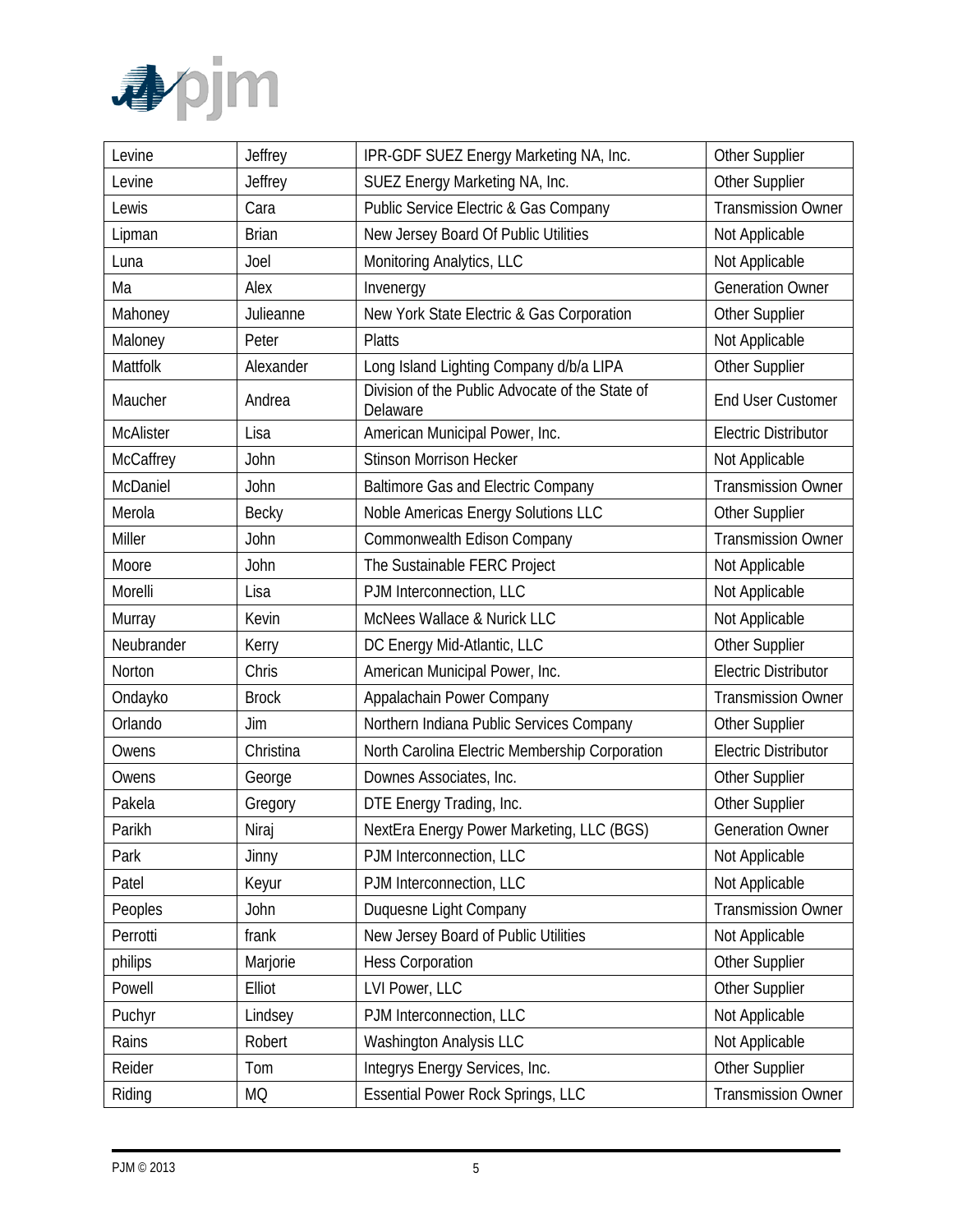

| Levine           | Jeffrey      | IPR-GDF SUEZ Energy Marketing NA, Inc.<br><b>Other Supplier</b>       |                             |
|------------------|--------------|-----------------------------------------------------------------------|-----------------------------|
| Levine           | Jeffrey      | SUEZ Energy Marketing NA, Inc.                                        | Other Supplier              |
| Lewis            | Cara         | <b>Public Service Electric &amp; Gas Company</b>                      | <b>Transmission Owner</b>   |
| Lipman           | <b>Brian</b> | New Jersey Board Of Public Utilities                                  | Not Applicable              |
| Luna             | Joel         | Monitoring Analytics, LLC                                             | Not Applicable              |
| Ma               | Alex         | Invenergy                                                             | <b>Generation Owner</b>     |
| Mahoney          | Julieanne    | New York State Electric & Gas Corporation                             | Other Supplier              |
| Maloney          | Peter        | <b>Platts</b>                                                         | Not Applicable              |
| Mattfolk         | Alexander    | Long Island Lighting Company d/b/a LIPA                               | Other Supplier              |
| Maucher          | Andrea       | Division of the Public Advocate of the State of<br>Delaware           | <b>End User Customer</b>    |
| <b>McAlister</b> | Lisa         | American Municipal Power, Inc.                                        | <b>Electric Distributor</b> |
| McCaffrey        | John         | <b>Stinson Morrison Hecker</b>                                        | Not Applicable              |
| McDaniel         | John         | <b>Baltimore Gas and Electric Company</b>                             | <b>Transmission Owner</b>   |
| Merola           | Becky        | Noble Americas Energy Solutions LLC                                   | Other Supplier              |
| Miller           | John         | Commonwealth Edison Company                                           | <b>Transmission Owner</b>   |
| Moore            | John         | The Sustainable FERC Project                                          | Not Applicable              |
| Morelli          | Lisa         | PJM Interconnection, LLC                                              | Not Applicable              |
| Murray           | Kevin        | McNees Wallace & Nurick LLC                                           | Not Applicable              |
| Neubrander       | Kerry        | DC Energy Mid-Atlantic, LLC                                           | Other Supplier              |
| Norton           | Chris        | American Municipal Power, Inc.                                        | <b>Electric Distributor</b> |
| Ondayko          | <b>Brock</b> | Appalachain Power Company                                             | <b>Transmission Owner</b>   |
| Orlando          | Jim          | Northern Indiana Public Services Company                              | Other Supplier              |
| Owens            | Christina    | North Carolina Electric Membership Corporation                        | <b>Electric Distributor</b> |
| Owens            | George       | Downes Associates, Inc.                                               | Other Supplier              |
| Pakela           | Gregory      | DTE Energy Trading, Inc.                                              | Other Supplier              |
| Parikh           | Niraj        | NextEra Energy Power Marketing, LLC (BGS)                             | <b>Generation Owner</b>     |
| Park             | Jinny        | PJM Interconnection, LLC                                              | Not Applicable              |
| Patel            | Keyur        | PJM Interconnection, LLC                                              | Not Applicable              |
| Peoples          | John         | Duquesne Light Company                                                | <b>Transmission Owner</b>   |
| Perrotti         | frank        | New Jersey Board of Public Utilities                                  | Not Applicable              |
| philips          | Marjorie     | <b>Hess Corporation</b>                                               | Other Supplier              |
| Powell           | Elliot       | LVI Power, LLC                                                        | Other Supplier              |
| Puchyr           | Lindsey      | PJM Interconnection, LLC                                              | Not Applicable              |
| Rains            | Robert       | <b>Washington Analysis LLC</b>                                        | Not Applicable              |
| Reider           | Tom          | Integrys Energy Services, Inc.                                        | Other Supplier              |
| Riding           | <b>MQ</b>    | <b>Essential Power Rock Springs, LLC</b><br><b>Transmission Owner</b> |                             |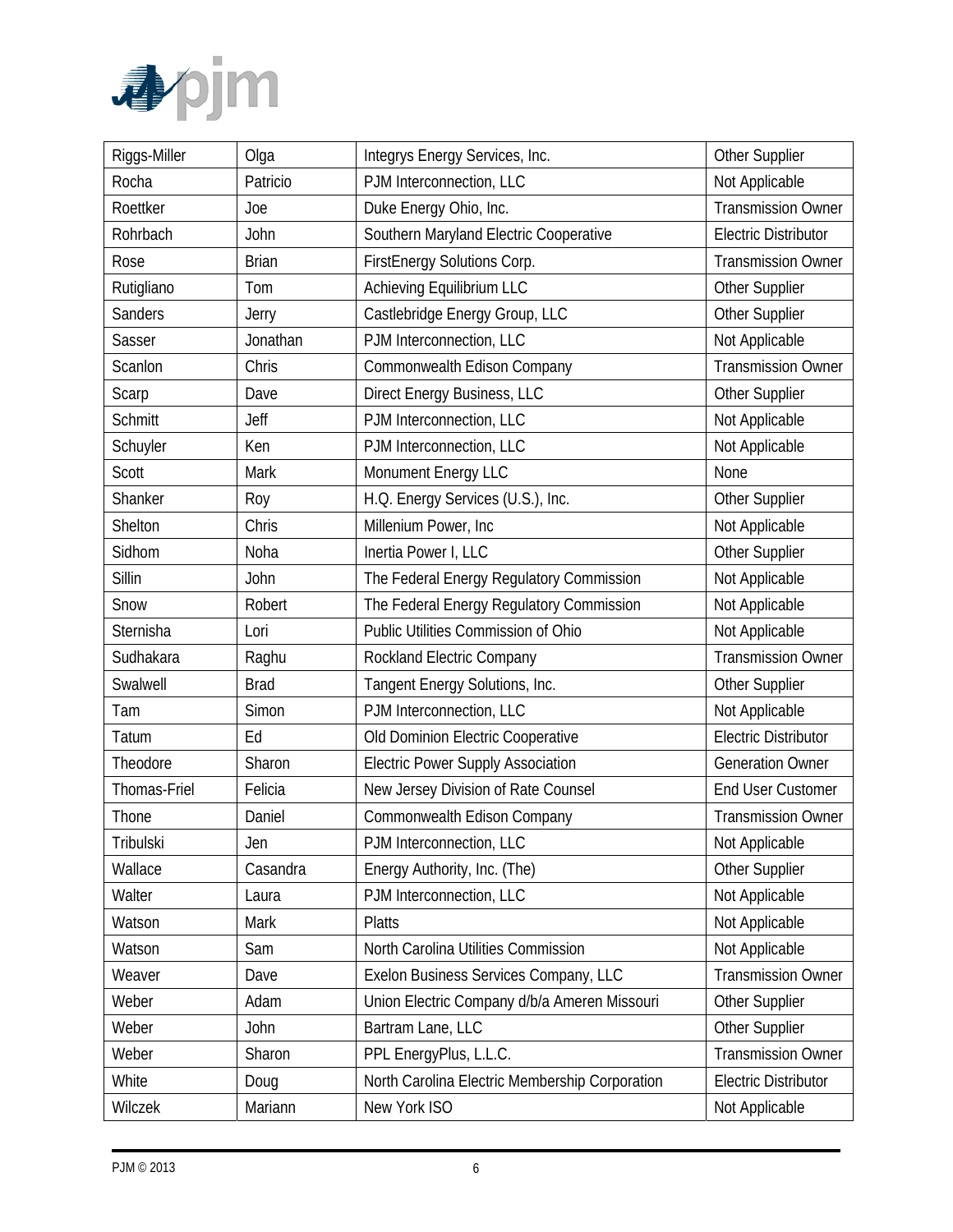

| Riggs-Miller   | Olga         | Integrys Energy Services, Inc.                 | Other Supplier              |
|----------------|--------------|------------------------------------------------|-----------------------------|
| Rocha          | Patricio     | PJM Interconnection, LLC                       | Not Applicable              |
| Roettker       | Joe          | Duke Energy Ohio, Inc.                         | <b>Transmission Owner</b>   |
| Rohrbach       | John         | Southern Maryland Electric Cooperative         | <b>Electric Distributor</b> |
| Rose           | <b>Brian</b> | FirstEnergy Solutions Corp.                    | <b>Transmission Owner</b>   |
| Rutigliano     | Tom          | Achieving Equilibrium LLC                      | Other Supplier              |
| Sanders        | Jerry        | Castlebridge Energy Group, LLC                 | Other Supplier              |
| Sasser         | Jonathan     | PJM Interconnection, LLC                       | Not Applicable              |
| Scanlon        | Chris        | Commonwealth Edison Company                    | <b>Transmission Owner</b>   |
| Scarp          | Dave         | Direct Energy Business, LLC                    | Other Supplier              |
| <b>Schmitt</b> | Jeff         | PJM Interconnection, LLC                       | Not Applicable              |
| Schuyler       | Ken          | PJM Interconnection, LLC                       | Not Applicable              |
| Scott          | Mark         | Monument Energy LLC                            | None                        |
| Shanker        | Roy          | H.Q. Energy Services (U.S.), Inc.              | Other Supplier              |
| Shelton        | Chris        | Millenium Power, Inc.                          | Not Applicable              |
| Sidhom         | Noha         | Inertia Power I, LLC                           | Other Supplier              |
| Sillin         | John         | The Federal Energy Regulatory Commission       | Not Applicable              |
| Snow           | Robert       | The Federal Energy Regulatory Commission       | Not Applicable              |
| Sternisha      | Lori         | Public Utilities Commission of Ohio            | Not Applicable              |
| Sudhakara      | Raghu        | Rockland Electric Company                      | <b>Transmission Owner</b>   |
| Swalwell       | <b>Brad</b>  | Tangent Energy Solutions, Inc.                 | Other Supplier              |
| Tam            | Simon        | PJM Interconnection, LLC                       | Not Applicable              |
| Tatum          | Ed           | Old Dominion Electric Cooperative              | <b>Electric Distributor</b> |
| Theodore       | Sharon       | <b>Electric Power Supply Association</b>       | <b>Generation Owner</b>     |
| Thomas-Friel   | Felicia      | New Jersey Division of Rate Counsel            | <b>End User Customer</b>    |
| Thone          | Daniel       | Commonwealth Edison Company                    | <b>Transmission Owner</b>   |
| Tribulski      | Jen          | PJM Interconnection, LLC                       | Not Applicable              |
| Wallace        | Casandra     | Energy Authority, Inc. (The)                   | Other Supplier              |
| Walter         | Laura        | PJM Interconnection, LLC                       | Not Applicable              |
| Watson         | Mark         | <b>Platts</b>                                  | Not Applicable              |
| Watson         | Sam          | North Carolina Utilities Commission            | Not Applicable              |
| Weaver         | Dave         | Exelon Business Services Company, LLC          | <b>Transmission Owner</b>   |
| Weber          | Adam         | Union Electric Company d/b/a Ameren Missouri   | Other Supplier              |
| Weber          | John         | Bartram Lane, LLC                              | Other Supplier              |
| Weber          | Sharon       | PPL EnergyPlus, L.L.C.                         | <b>Transmission Owner</b>   |
| White          | Doug         | North Carolina Electric Membership Corporation | <b>Electric Distributor</b> |
| Wilczek        | Mariann      | New York ISO                                   | Not Applicable              |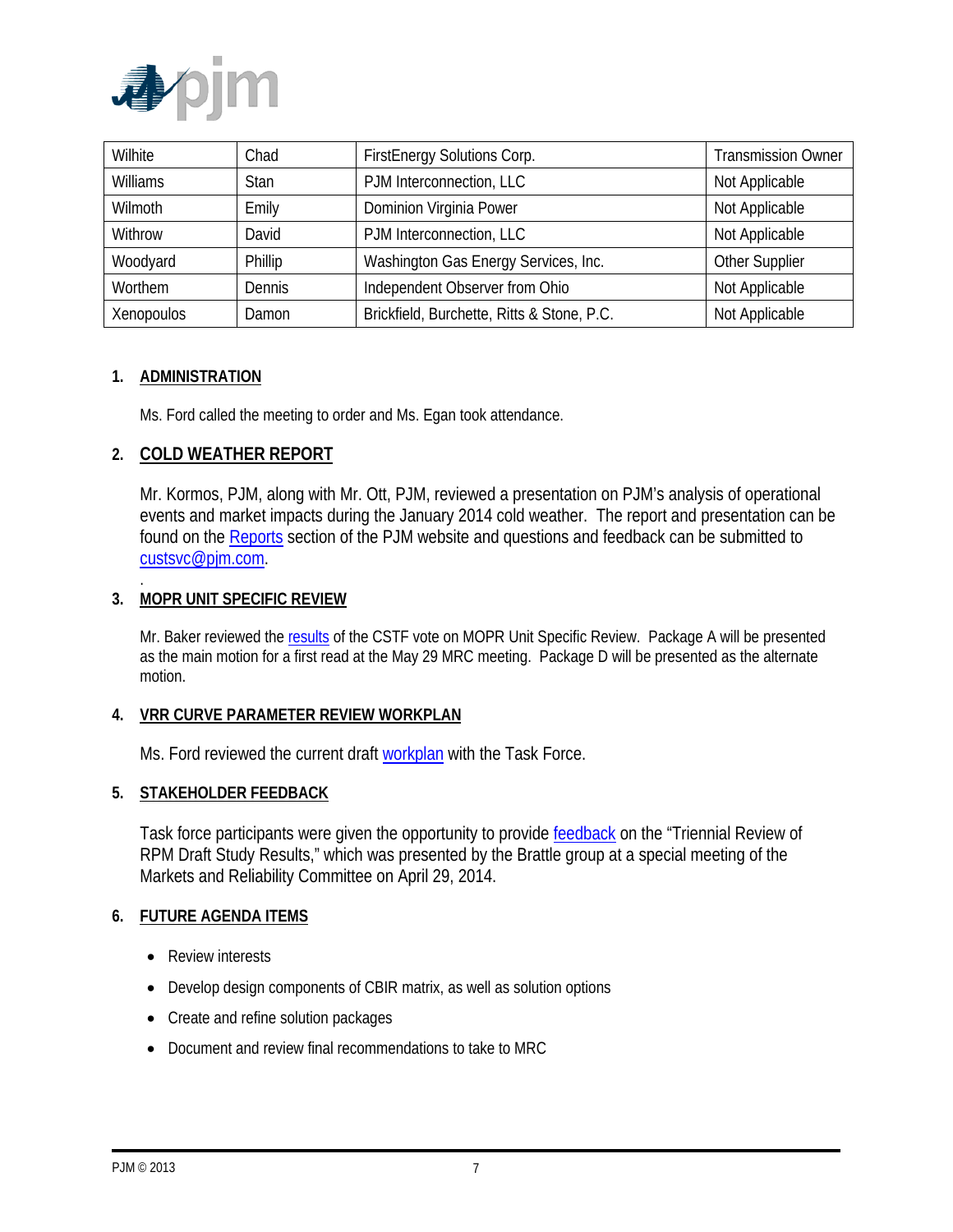

| Wilhite         | Chad        | FirstEnergy Solutions Corp.                | <b>Transmission Owner</b> |
|-----------------|-------------|--------------------------------------------|---------------------------|
| <b>Williams</b> | <b>Stan</b> | PJM Interconnection, LLC                   | Not Applicable            |
| Wilmoth         | Emily       | Dominion Virginia Power                    | Not Applicable            |
| Withrow         | David       | PJM Interconnection, LLC                   | Not Applicable            |
| Woodyard        | Phillip     | Washington Gas Energy Services, Inc.       | Other Supplier            |
| Worthem         | Dennis      | Independent Observer from Ohio             | Not Applicable            |
| Xenopoulos      | Damon       | Brickfield, Burchette, Ritts & Stone, P.C. | Not Applicable            |

#### **1. ADMINISTRATION**

.

Ms. Ford called the meeting to order and Ms. Egan took attendance.

### **2. COLD WEATHER REPORT**

Mr. Kormos, PJM, along with Mr. Ott, PJM, reviewed a presentation on PJM's analysis of operational events and market impacts during the January 2014 cold weather. The report and presentation can be found on the Reports section of the PJM website and questions and feedback can be submitted to custsvc@pjm.com.

#### **3. MOPR UNIT SPECIFIC REVIEW**

Mr. Baker reviewed the results of the CSTF vote on MOPR Unit Specific Review. Package A will be presented as the main motion for a first read at the May 29 MRC meeting. Package D will be presented as the alternate motion.

#### **4. VRR CURVE PARAMETER REVIEW WORKPLAN**

Ms. Ford reviewed the current draft workplan with the Task Force.

#### **5. STAKEHOLDER FEEDBACK**

Task force participants were given the opportunity to provide feedback on the "Triennial Review of RPM Draft Study Results," which was presented by the Brattle group at a special meeting of the Markets and Reliability Committee on April 29, 2014.

#### **6. FUTURE AGENDA ITEMS**

- Review interests
- Develop design components of CBIR matrix, as well as solution options
- Create and refine solution packages
- Document and review final recommendations to take to MRC